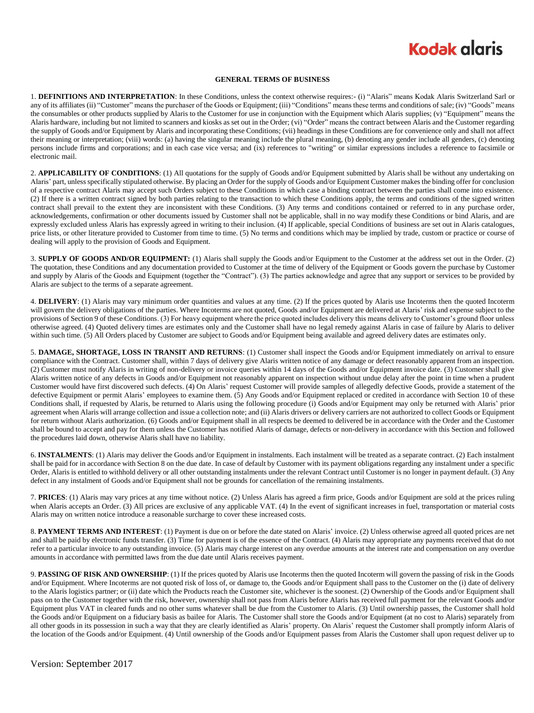## **Kodak alaris**

#### **GENERAL TERMS OF BUSINESS**

1. **DEFINITIONS AND INTERPRETATION**: In these Conditions, unless the context otherwise requires:- (i) "Alaris" means Kodak Alaris Switzerland Sarl or any of its affiliates (ii) "Customer" means the purchaser of the Goods or Equipment; (iii) "Conditions" means these terms and conditions of sale; (iv) "Goods" means the consumables or other products supplied by Alaris to the Customer for use in conjunction with the Equipment which Alaris supplies; (v) "Equipment" means the Alaris hardware, including but not limited to scanners and kiosks as set out in the Order; (vi) "Order" means the contract between Alaris and the Customer regarding the supply of Goods and/or Equipment by Alaris and incorporating these Conditions; (vii) headings in these Conditions are for convenience only and shall not affect their meaning or interpretation; (viii) words: (a) having the singular meaning include the plural meaning, (b) denoting any gender include all genders, (c) denoting persons include firms and corporations; and in each case vice versa; and (ix) references to "writing" or similar expressions includes a reference to facsimile or electronic mail.

2. **APPLICABILITY OF CONDITIONS**: (1) All quotations for the supply of Goods and/or Equipment submitted by Alaris shall be without any undertaking on Alaris' part, unless specifically stipulated otherwise. By placing an Order for the supply of Goods and/or Equipment Customer makes the binding offer for conclusion of a respective contract Alaris may accept such Orders subject to these Conditions in which case a binding contract between the parties shall come into existence. (2) If there is a written contract signed by both parties relating to the transaction to which these Conditions apply, the terms and conditions of the signed written contract shall prevail to the extent they are inconsistent with these Conditions. (3) Any terms and conditions contained or referred to in any purchase order, acknowledgements, confirmation or other documents issued by Customer shall not be applicable, shall in no way modify these Conditions or bind Alaris, and are expressly excluded unless Alaris has expressly agreed in writing to their inclusion. (4) If applicable, special Conditions of business are set out in Alaris catalogues, price lists, or other literature provided to Customer from time to time. (5) No terms and conditions which may be implied by trade, custom or practice or course of dealing will apply to the provision of Goods and Equipment.

3. **SUPPLY OF GOODS AND/OR EQUIPMENT:** (1) Alaris shall supply the Goods and/or Equipment to the Customer at the address set out in the Order. (2) The quotation, these Conditions and any documentation provided to Customer at the time of delivery of the Equipment or Goods govern the purchase by Customer and supply by Alaris of the Goods and Equipment (together the "Contract"). (3) The parties acknowledge and agree that any support or services to be provided by Alaris are subject to the terms of a separate agreement.

4. **DELIVERY**: (1) Alaris may vary minimum order quantities and values at any time. (2) If the prices quoted by Alaris use Incoterms then the quoted Incoterm will govern the delivery obligations of the parties. Where Incoterms are not quoted, Goods and/or Equipment are delivered at Alaris' risk and expense subject to the provisions of Section 9 of these Conditions. (3) For heavy equipment where the price quoted includes delivery this means delivery to Customer's ground floor unless otherwise agreed. (4) Quoted delivery times are estimates only and the Customer shall have no legal remedy against Alaris in case of failure by Alaris to deliver within such time. (5) All Orders placed by Customer are subject to Goods and/or Equipment being available and agreed delivery dates are estimates only.

5. **DAMAGE, SHORTAGE, LOSS IN TRANSIT AND RETURNS**: (1) Customer shall inspect the Goods and/or Equipment immediately on arrival to ensure compliance with the Contract. Customer shall, within 7 days of delivery give Alaris written notice of any damage or defect reasonably apparent from an inspection. (2) Customer must notify Alaris in writing of non-delivery or invoice queries within 14 days of the Goods and/or Equipment invoice date. (3) Customer shall give Alaris written notice of any defects in Goods and/or Equipment not reasonably apparent on inspection without undue delay after the point in time when a prudent Customer would have first discovered such defects. (4) On Alaris' request Customer will provide samples of allegedly defective Goods, provide a statement of the defective Equipment or permit Alaris' employees to examine them. (5) Any Goods and/or Equipment replaced or credited in accordance with Section 10 of these Conditions shall, if requested by Alaris, be returned to Alaris using the following procedure (i) Goods and/or Equipment may only be returned with Alaris' prior agreement when Alaris will arrange collection and issue a collection note; and (ii) Alaris drivers or delivery carriers are not authorized to collect Goods or Equipment for return without Alaris authorization. (6) Goods and/or Equipment shall in all respects be deemed to delivered be in accordance with the Order and the Customer shall be bound to accept and pay for them unless the Customer has notified Alaris of damage, defects or non-delivery in accordance with this Section and followed the procedures laid down, otherwise Alaris shall have no liability.

6. **INSTALMENTS**: (1) Alaris may deliver the Goods and/or Equipment in instalments. Each instalment will be treated as a separate contract. (2) Each instalment shall be paid for in accordance with Section 8 on the due date. In case of default by Customer with its payment obligations regarding any instalment under a specific Order, Alaris is entitled to withhold delivery or all other outstanding instalments under the relevant Contract until Customer is no longer in payment default. (3) Any defect in any instalment of Goods and/or Equipment shall not be grounds for cancellation of the remaining instalments.

7. **PRICES**: (1) Alaris may vary prices at any time without notice. (2) Unless Alaris has agreed a firm price, Goods and/or Equipment are sold at the prices ruling when Alaris accepts an Order. (3) All prices are exclusive of any applicable VAT. (4) In the event of significant increases in fuel, transportation or material costs Alaris may on written notice introduce a reasonable surcharge to cover these increased costs.

8. **PAYMENT TERMS AND INTEREST**: (1) Payment is due on or before the date stated on Alaris' invoice. (2) Unless otherwise agreed all quoted prices are net and shall be paid by electronic funds transfer. (3) Time for payment is of the essence of the Contract. (4) Alaris may appropriate any payments received that do not refer to a particular invoice to any outstanding invoice. (5) Alaris may charge interest on any overdue amounts at the interest rate and compensation on any overdue amounts in accordance with permitted laws from the due date until Alaris receives payment.

9. **PASSING OF RISK AND OWNERSHIP**: (1) If the prices quoted by Alaris use Incoterms then the quoted Incoterm will govern the passing of risk in the Goods and/or Equipment. Where Incoterms are not quoted risk of loss of, or damage to, the Goods and/or Equipment shall pass to the Customer on the (i) date of delivery to the Alaris logistics partner; or (ii) date which the Products reach the Customer site, whichever is the soonest. (2) Ownership of the Goods and/or Equipment shall pass on to the Customer together with the risk, however, ownership shall not pass from Alaris before Alaris has received full payment for the relevant Goods and/or Equipment plus VAT in cleared funds and no other sums whatever shall be due from the Customer to Alaris. (3) Until ownership passes, the Customer shall hold the Goods and/or Equipment on a fiduciary basis as bailee for Alaris. The Customer shall store the Goods and/or Equipment (at no cost to Alaris) separately from all other goods in its possession in such a way that they are clearly identified as Alaris' property. On Alaris' request the Customer shall promptly inform Alaris of the location of the Goods and/or Equipment. (4) Until ownership of the Goods and/or Equipment passes from Alaris the Customer shall upon request deliver up to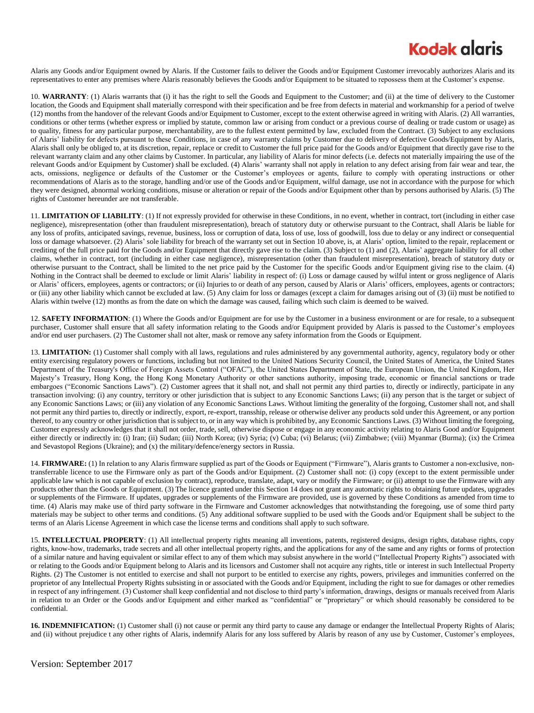## **Kodak glaris**

Alaris any Goods and/or Equipment owned by Alaris. If the Customer fails to deliver the Goods and/or Equipment Customer irrevocably authorizes Alaris and its representatives to enter any premises where Alaris reasonably believes the Goods and/or Equipment to be situated to repossess them at the Customer's expense.

10. **WARRANTY**: (1) Alaris warrants that (i) it has the right to sell the Goods and Equipment to the Customer; and (ii) at the time of delivery to the Customer location, the Goods and Equipment shall materially correspond with their specification and be free from defects in material and workmanship for a period of twelve (12) months from the handover of the relevant Goods and/or Equipment to Customer, except to the extent otherwise agreed in writing with Alaris. (2) All warranties, conditions or other terms (whether express or implied by statute, common law or arising from conduct or a previous course of dealing or trade custom or usage) as to quality, fitness for any particular purpose, merchantability, are to the fullest extent permitted by law, excluded from the Contract. (3) Subject to any exclusions of Alaris' liability for defects pursuant to these Conditions, in case of any warranty claims by Customer due to delivery of defective Goods/Equipment by Alaris, Alaris shall only be obliged to, at its discretion, repair, replace or credit to Customer the full price paid for the Goods and/or Equipment that directly gave rise to the relevant warranty claim and any other claims by Customer. In particular, any liability of Alaris for minor defects (i.e. defects not materially impairing the use of the relevant Goods and/or Equipment by Customer) shall be excluded. (4) Alaris' warranty shall not apply in relation to any defect arising from fair wear and tear, the acts, omissions, negligence or defaults of the Customer or the Customer's employees or agents, failure to comply with operating instructions or other recommendations of Alaris as to the storage, handling and/or use of the Goods and/or Equipment, wilful damage, use not in accordance with the purpose for which they were designed, abnormal working conditions, misuse or alteration or repair of the Goods and/or Equipment other than by persons authorised by Alaris. (5) The rights of Customer hereunder are not transferable.

11. **LIMITATION OF LIABILITY**: (1) If not expressly provided for otherwise in these Conditions, in no event, whether in contract, tort (including in either case negligence), misrepresentation (other than fraudulent misrepresentation), breach of statutory duty or otherwise pursuant to the Contract, shall Alaris be liable for any loss of profits, anticipated savings, revenue, business, loss or corruption of data, loss of use, loss of goodwill, loss due to delay or any indirect or consequential loss or damage whatsoever. (2) Alaris' sole liability for breach of the warranty set out in Section 10 above, is, at Alaris' option, limited to the repair, replacement or crediting of the full price paid for the Goods and/or Equipment that directly gave rise to the claim. (3) Subject to (1) and (2), Alaris' aggregate liability for all other claims, whether in contract, tort (including in either case negligence), misrepresentation (other than fraudulent misrepresentation), breach of statutory duty or otherwise pursuant to the Contract, shall be limited to the net price paid by the Customer for the specific Goods and/or Equipment giving rise to the claim. (4) Nothing in the Contract shall be deemed to exclude or limit Alaris' liability in respect of: (i) Loss or damage caused by wilful intent or gross negligence of Alaris or Alaris' officers, employees, agents or contractors; or (ii) Injuries to or death of any person, caused by Alaris or Alaris' officers, employees, agents or contractors; or (iii) any other liability which cannot be excluded at law. (5) Any claim for loss or damages (except a claim for damages arising out of (3) (ii) must be notified to Alaris within twelve (12) months as from the date on which the damage was caused, failing which such claim is deemed to be waived.

12. **SAFETY INFORMATION**: (1) Where the Goods and/or Equipment are for use by the Customer in a business environment or are for resale, to a subsequent purchaser, Customer shall ensure that all safety information relating to the Goods and/or Equipment provided by Alaris is passed to the Customer's employees and/or end user purchasers. (2) The Customer shall not alter, mask or remove any safety information from the Goods or Equipment.

13. **LIMITATION:** (1) Customer shall comply with all laws, regulations and rules administered by any governmental authority, agency, regulatory body or other entity exercising regulatory powers or functions, including but not limited to the United Nations Security Council, the United States of America, the United States Department of the Treasury's Office of Foreign Assets Control ("OFAC"), the United States Department of State, the European Union, the United Kingdom, Her Majesty's Treasury, Hong Kong, the Hong Kong Monetary Authority or other sanctions authority, imposing trade, economic or financial sanctions or trade embargoes ("Economic Sanctions Laws"). (2) Customer agrees that it shall not, and shall not permit any third parties to, directly or indirectly, participate in any transaction involving: (i) any country, territory or other jurisdiction that is subject to any Economic Sanctions Laws; (ii) any person that is the target or subject of any Economic Sanctions Laws; or (iii) any violation of any Economic Sanctions Laws. Without limiting the generality of the forgoing, Customer shall not, and shall not permit any third parties to, directly or indirectly, export, re-export, transship, release or otherwise deliver any products sold under this Agreement, or any portion thereof, to any country or other jurisdiction that is subject to, or in any way which is prohibited by, any Economic Sanctions Laws. (3) Without limiting the foregoing, Customer expressly acknowledges that it shall not order, trade, sell, otherwise dispose or engage in any economic activity relating to Alaris Good and/or Equipment either directly or indirectly in: (i) Iran; (ii) Sudan; (iii) North Korea; (iv) Syria; (v) Cuba; (vi) Belarus; (vii) Zimbabwe; (viii) Myanmar (Burma); (ix) the Crimea and Sevastopol Regions (Ukraine); and (x) the military/defence/energy sectors in Russia.

14. **FIRMWARE:** (1) In relation to any Alaris firmware supplied as part of the Goods or Equipment ("Firmware"), Alaris grants to Customer a non-exclusive, nontransferrable licence to use the Firmware only as part of the Goods and/or Equipment. (2) Customer shall not: (i) copy (except to the extent permissible under applicable law which is not capable of exclusion by contract), reproduce, translate, adapt, vary or modify the Firmware; or (ii) attempt to use the Firmware with any products other than the Goods or Equipment. (3) The licence granted under this Section 14 does not grant any automatic rights to obtaining future updates, upgrades or supplements of the Firmware. If updates, upgrades or supplements of the Firmware are provided, use is governed by these Conditions as amended from time to time. (4) Alaris may make use of third party software in the Firmware and Customer acknowledges that notwithstanding the foregoing, use of some third party materials may be subject to other terms and conditions. (5) Any additional software supplied to be used with the Goods and/or Equipment shall be subject to the terms of an Alaris License Agreement in which case the license terms and conditions shall apply to such software.

15. **INTELLECTUAL PROPERTY**: (1) All intellectual property rights meaning all inventions, patents, registered designs, design rights, database rights, copy rights, know-how, trademarks, trade secrets and all other intellectual property rights, and the applications for any of the same and any rights or forms of protection of a similar nature and having equivalent or similar effect to any of them which may subsist anywhere in the world ("Intellectual Property Rights") associated with or relating to the Goods and/or Equipment belong to Alaris and its licensors and Customer shall not acquire any rights, title or interest in such Intellectual Property Rights. (2) The Customer is not entitled to exercise and shall not purport to be entitled to exercise any rights, powers, privileges and immunities conferred on the proprietor of any Intellectual Property Rights subsisting in or associated with the Goods and/or Equipment, including the right to sue for damages or other remedies in respect of any infringement. (3) Customer shall keep confidential and not disclose to third party's information, drawings, designs or manuals received from Alaris in relation to an Order or the Goods and/or Equipment and either marked as "confidential" or "proprietary" or which should reasonably be considered to be confidential.

**16. INDEMNIFICATION:** (1) Customer shall (i) not cause or permit any third party to cause any damage or endanger the Intellectual Property Rights of Alaris; and (ii) without prejudice t any other rights of Alaris, indemnify Alaris for any loss suffered by Alaris by reason of any use by Customer, Customer's employees,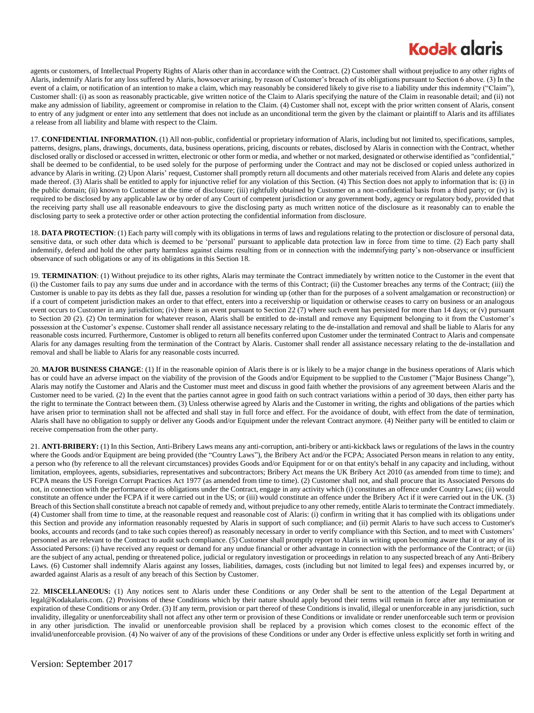## **Kodak glaris**

agents or customers, of Intellectual Property Rights of Alaris other than in accordance with the Contract. (2) Customer shall without prejudice to any other rights of Alaris, indemnify Alaris for any loss suffered by Alaris, howsoever arising, by reason of Customer's breach of its obligations pursuant to Section 6 above. (3) In the event of a claim, or notification of an intention to make a claim, which may reasonably be considered likely to give rise to a liability under this indemnity ("Claim"), Customer shall: (i) as soon as reasonably practicable, give written notice of the Claim to Alaris specifying the nature of the Claim in reasonable detail; and (ii) not make any admission of liability, agreement or compromise in relation to the Claim. (4) Customer shall not, except with the prior written consent of Alaris, consent to entry of any judgment or enter into any settlement that does not include as an unconditional term the given by the claimant or plaintiff to Alaris and its affiliates a release from all liability and blame with respect to the Claim.

17. **CONFIDENTIAL INFORMATION.** (1) All non-public, confidential or proprietary information of Alaris, including but not limited to, specifications, samples, patterns, designs, plans, drawings, documents, data, business operations, pricing, discounts or rebates, disclosed by Alaris in connection with the Contract, whether disclosed orally or disclosed or accessed in written, electronic or other form or media, and whether or not marked, designated or otherwise identified as "confidential," shall be deemed to be confidential, to be used solely for the purpose of performing under the Contract and may not be disclosed or copied unless authorized in advance by Alaris in writing. (2) Upon Alaris' request, Customer shall promptly return all documents and other materials received from Alaris and delete any copies made thereof. (3) Alaris shall be entitled to apply for injunctive relief for any violation of this Section. (4) This Section does not apply to information that is: (i) in the public domain; (ii) known to Customer at the time of disclosure; (iii) rightfully obtained by Customer on a non-confidential basis from a third party; or (iv) is required to be disclosed by any applicable law or by order of any Court of competent jurisdiction or any government body, agency or regulatory body, provided that the receiving party shall use all reasonable endeavours to give the disclosing party as much written notice of the disclosure as it reasonably can to enable the disclosing party to seek a protective order or other action protecting the confidential information from disclosure.

18. **DATA PROTECTION**: (1) Each party will comply with its obligations in terms of laws and regulations relating to the protection or disclosure of personal data, sensitive data, or such other data which is deemed to be 'personal' pursuant to applicable data protection law in force from time to time. (2) Each party shall indemnify, defend and hold the other party harmless against claims resulting from or in connection with the indemnifying party's non-observance or insufficient observance of such obligations or any of its obligations in this Section 18.

19. **TERMINATION**: (1) Without prejudice to its other rights, Alaris may terminate the Contract immediately by written notice to the Customer in the event that (i) the Customer fails to pay any sums due under and in accordance with the terms of this Contract; (ii) the Customer breaches any terms of the Contract; (iii) the Customer is unable to pay its debts as they fall due, passes a resolution for winding up (other than for the purposes of a solvent amalgamation or reconstruction) or if a court of competent jurisdiction makes an order to that effect, enters into a receivership or liquidation or otherwise ceases to carry on business or an analogous event occurs to Customer in any jurisdiction; (iv) there is an event pursuant to Section 22 (7) where such event has persisted for more than 14 days; or (v) pursuant to Section 20 (2). (2) On termination for whatever reason, Alaris shall be entitled to de-install and remove any Equipment belonging to it from the Customer's possession at the Customer's expense. Customer shall render all assistance necessary relating to the de-installation and removal and shall be liable to Alaris for any reasonable costs incurred. Furthermore, Customer is obliged to return all benefits conferred upon Customer under the terminated Contract to Alaris and compensate Alaris for any damages resulting from the termination of the Contract by Alaris. Customer shall render all assistance necessary relating to the de-installation and removal and shall be liable to Alaris for any reasonable costs incurred.

20. MAJOR BUSINESS CHANGE: (1) If in the reasonable opinion of Alaris there is or is likely to be a major change in the business operations of Alaris which has or could have an adverse impact on the viability of the provision of the Goods and/or Equipment to be supplied to the Customer ("Major Business Change"), Alaris may notify the Customer and Alaris and the Customer must meet and discuss in good faith whether the provisions of any agreement between Alaris and the Customer need to be varied. (2) In the event that the parties cannot agree in good faith on such contract variations within a period of 30 days, then either party has the right to terminate the Contract between them. (3) Unless otherwise agreed by Alaris and the Customer in writing, the rights and obligations of the parties which have arisen prior to termination shall not be affected and shall stay in full force and effect. For the avoidance of doubt, with effect from the date of termination, Alaris shall have no obligation to supply or deliver any Goods and/or Equipment under the relevant Contract anymore. (4) Neither party will be entitled to claim or receive compensation from the other party.

21. **ANTI-BRIBERY:** (1) In this Section, Anti-Bribery Laws means any anti-corruption, anti-bribery or anti-kickback laws or regulations of the laws in the country where the Goods and/or Equipment are being provided (the "Country Laws"), the Bribery Act and/or the FCPA; Associated Person means in relation to any entity, a person who (by reference to all the relevant circumstances) provides Goods and/or Equipment for or on that entity's behalf in any capacity and including, without limitation, employees, agents, subsidiaries, representatives and subcontractors; Bribery Act means the UK Bribery Act 2010 (as amended from time to time); and FCPA means the US Foreign Corrupt Practices Act 1977 (as amended from time to time). (2) Customer shall not, and shall procure that its Associated Persons do not, in connection with the performance of its obligations under the Contract, engage in any activity which (i) constitutes an offence under Country Laws; (ii) would constitute an offence under the FCPA if it were carried out in the US; or (iii) would constitute an offence under the Bribery Act if it were carried out in the UK. (3) Breach of this Section shall constitute a breach not capable of remedy and, without prejudice to any other remedy, entitle Alaris to terminate the Contract immediately. (4) Customer shall from time to time, at the reasonable request and reasonable cost of Alaris: (i) confirm in writing that it has complied with its obligations under this Section and provide any information reasonably requested by Alaris in support of such compliance; and (ii) permit Alaris to have such access to Customer's books, accounts and records (and to take such copies thereof) as reasonably necessary in order to verify compliance with this Section, and to meet with Customers' personnel as are relevant to the Contract to audit such compliance. (5) Customer shall promptly report to Alaris in writing upon becoming aware that it or any of its Associated Persons: (i) have received any request or demand for any undue financial or other advantage in connection with the performance of the Contract; or (ii) are the subject of any actual, pending or threatened police, judicial or regulatory investigation or proceedings in relation to any suspected breach of any Anti-Bribery Laws. (6) Customer shall indemnify Alaris against any losses, liabilities, damages, costs (including but not limited to legal fees) and expenses incurred by, or awarded against Alaris as a result of any breach of this Section by Customer.

22. **MISCELLANEOUS:** (1) Any notices sent to Alaris under these Conditions or any Order shall be sent to the attention of the Legal Department at legal@Kodakalaris.com. (2) Provisions of these Conditions which by their nature should apply beyond their terms will remain in force after any termination or expiration of these Conditions or any Order. (3) If any term, provision or part thereof of these Conditions is invalid, illegal or unenforceable in any jurisdiction, such invalidity, illegality or unenforceability shall not affect any other term or provision of these Conditions or invalidate or render unenforceable such term or provision in any other jurisdiction. The invalid or unenforceable provision shall be replaced by a provision which comes closest to the economic effect of the invalid/unenforceable provision. (4) No waiver of any of the provisions of these Conditions or under any Order is effective unless explicitly set forth in writing and